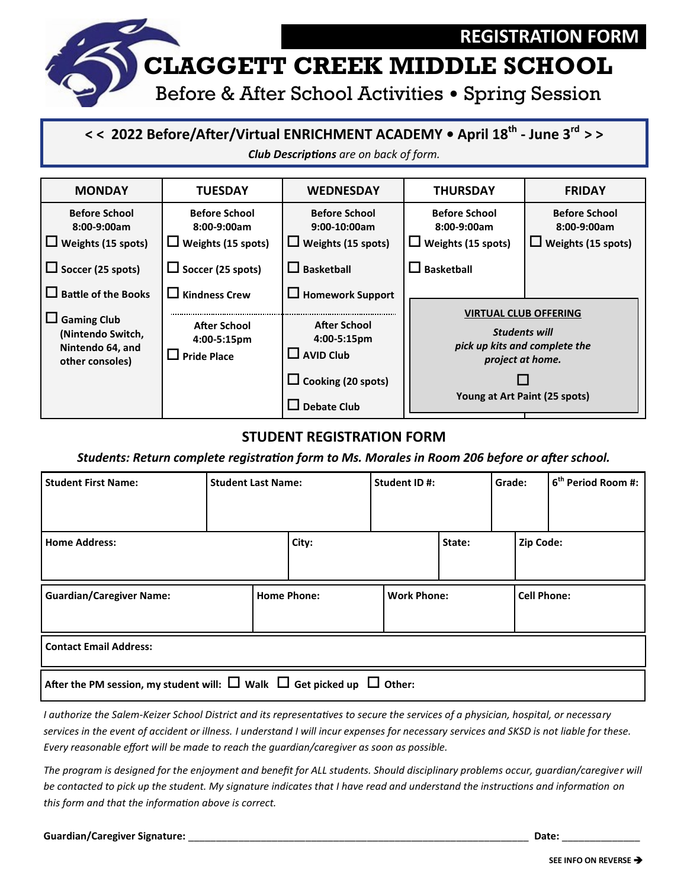

**< < 2022 Before/After/Virtual ENRICHMENT ACADEMY • April 18th - June 3rd > >**

*Club Descriptions are on back of form.*



## **STUDENT REGISTRATION FORM**

*Students: Return complete registration form to Ms. Morales in Room 206 before or after school.* 

| <b>Student First Name:</b>                                                            | <b>Student Last Name:</b> |                    | Student ID#:       |        | Grade:             | 6 <sup>th</sup> Period Room #: |
|---------------------------------------------------------------------------------------|---------------------------|--------------------|--------------------|--------|--------------------|--------------------------------|
|                                                                                       |                           |                    |                    |        |                    |                                |
| <b>Home Address:</b>                                                                  |                           | City:              |                    | State: | Zip Code:          |                                |
| <b>Guardian/Caregiver Name:</b>                                                       |                           | <b>Home Phone:</b> | <b>Work Phone:</b> |        | <b>Cell Phone:</b> |                                |
| <b>Contact Email Address:</b>                                                         |                           |                    |                    |        |                    |                                |
| After the PM session, my student will: $\Box$ Walk $\Box$ Get picked up $\Box$ Other: |                           |                    |                    |        |                    |                                |

*I authorize the Salem-Keizer School District and its representatives to secure the services of a physician, hospital, or necessary services in the event of accident or illness. I understand I will incur expenses for necessary services and SKSD is not liable for these. Every reasonable effort will be made to reach the guardian/caregiver as soon as possible.*

*The program is designed for the enjoyment and benefit for ALL students. Should disciplinary problems occur, guardian/caregiver will be contacted to pick up the student. My signature indicates that I have read and understand the instructions and information on this form and that the information above is correct.*

**Guardian/Caregiver Signature:** \_\_\_\_\_\_\_\_\_\_\_\_\_\_\_\_\_\_\_\_\_\_\_\_\_\_\_\_\_\_\_\_\_\_\_\_\_\_\_\_\_\_\_\_\_\_\_\_\_\_\_\_\_\_\_\_\_\_\_\_\_ **Date:** \_\_\_\_\_\_\_\_\_\_\_\_\_\_